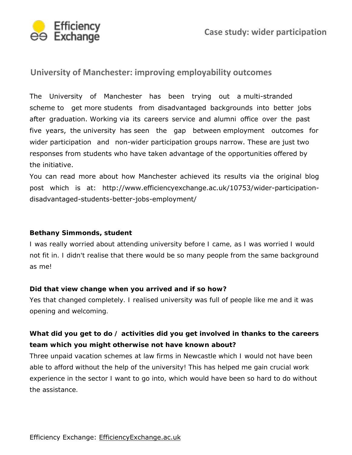

# **University of Manchester: improving employability outcomes**

The University of Manchester has been trying out a multi-stranded scheme to get more students from disadvantaged backgrounds into better jobs after graduation. Working via its careers service and alumni office over the past five years, the university has seen the gap between employment outcomes for wider participation and non-wider participation groups narrow. These are just two responses from students who have taken advantage of the opportunities offered by the initiative.

[You can read more about how Manchester achieved its results via the original blog](http://www.efficiencyexchange.ac.uk/10753/wider-participation-disadvantaged-students-better-jobs-employment/) post which is at: http://www.efficiencyexchange.ac.uk/10753/wider-participationdisadvantaged-students-better-jobs-employment/

### *Bethany Simmonds, student*

I was really worried about attending university before I came, as I was worried I would not fit in. I didn't realise that there would be so many people from the same background as me!

### **Did that view change when you arrived and if so how?**

Yes that changed completely. I realised university was full of people like me and it was opening and welcoming.

### **What did you get to do / activities did you get involved in thanks to the careers team which you might otherwise not have known about?**

Three unpaid vacation schemes at law firms in Newcastle which I would not have been able to afford without the help of the university! This has helped me gain crucial work experience in the sector I want to go into, which would have been so hard to do without the assistance.